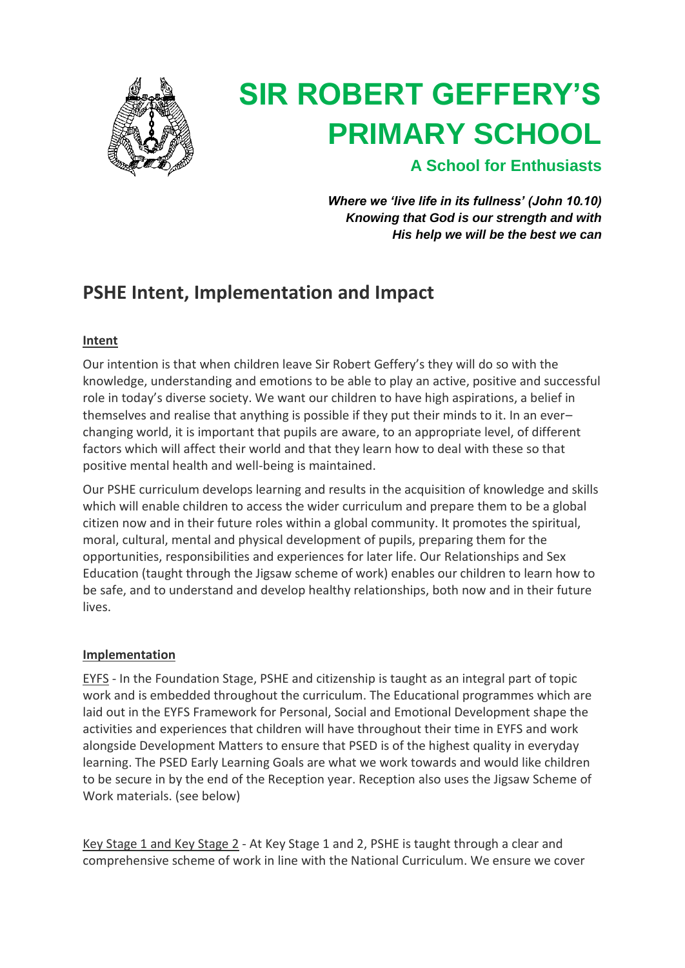

# **SIR ROBERT GEFFERY'S PRIMARY SCHOOL**

**A School for Enthusiasts**

*Where we 'live life in its fullness' (John 10.10) Knowing that God is our strength and with His help we will be the best we can*

## **PSHE Intent, Implementation and Impact**

### **Intent**

Our intention is that when children leave Sir Robert Geffery's they will do so with the knowledge, understanding and emotions to be able to play an active, positive and successful role in today's diverse society. We want our children to have high aspirations, a belief in themselves and realise that anything is possible if they put their minds to it. In an ever– changing world, it is important that pupils are aware, to an appropriate level, of different factors which will affect their world and that they learn how to deal with these so that positive mental health and well-being is maintained.

Our PSHE curriculum develops learning and results in the acquisition of knowledge and skills which will enable children to access the wider curriculum and prepare them to be a global citizen now and in their future roles within a global community. It promotes the spiritual, moral, cultural, mental and physical development of pupils, preparing them for the opportunities, responsibilities and experiences for later life. Our Relationships and Sex Education (taught through the Jigsaw scheme of work) enables our children to learn how to be safe, and to understand and develop healthy relationships, both now and in their future lives.

#### **Implementation**

EYFS - In the Foundation Stage, PSHE and citizenship is taught as an integral part of topic work and is embedded throughout the curriculum. The Educational programmes which are laid out in the EYFS Framework for Personal, Social and Emotional Development shape the activities and experiences that children will have throughout their time in EYFS and work alongside Development Matters to ensure that PSED is of the highest quality in everyday learning. The PSED Early Learning Goals are what we work towards and would like children to be secure in by the end of the Reception year. Reception also uses the Jigsaw Scheme of Work materials. (see below)

Key Stage 1 and Key Stage 2 - At Key Stage 1 and 2, PSHE is taught through a clear and comprehensive scheme of work in line with the National Curriculum. We ensure we cover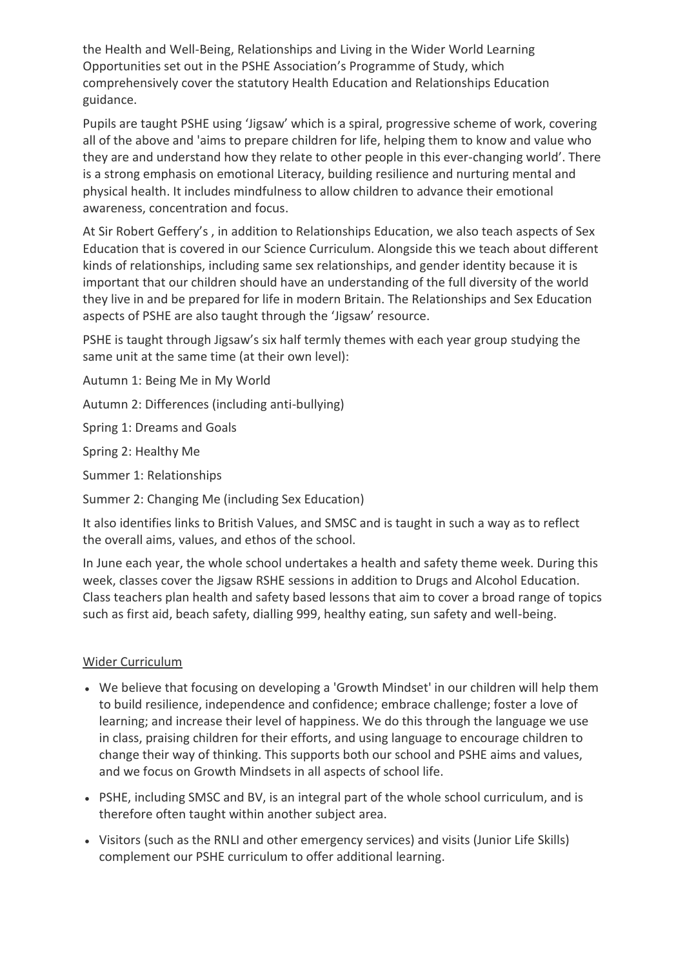the Health and Well-Being, Relationships and Living in the Wider World Learning Opportunities set out in the PSHE Association's Programme of Study, which comprehensively cover the statutory Health Education and Relationships Education guidance.

Pupils are taught PSHE using 'Jigsaw' which is a spiral, progressive scheme of work, covering all of the above and 'aims to prepare children for life, helping them to know and value who they are and understand how they relate to other people in this ever-changing world'. There is a strong emphasis on emotional Literacy, building resilience and nurturing mental and physical health. It includes mindfulness to allow children to advance their emotional awareness, concentration and focus.

At Sir Robert Geffery's , in addition to Relationships Education, we also teach aspects of Sex Education that is covered in our Science Curriculum. Alongside this we teach about different kinds of relationships, including same sex relationships, and gender identity because it is important that our children should have an understanding of the full diversity of the world they live in and be prepared for life in modern Britain. The Relationships and Sex Education aspects of PSHE are also taught through the 'Jigsaw' resource.

PSHE is taught through Jigsaw's six half termly themes with each year group studying the same unit at the same time (at their own level):

Autumn 1: Being Me in My World

Autumn 2: Differences (including anti-bullying)

Spring 1: Dreams and Goals

Spring 2: Healthy Me

Summer 1: Relationships

Summer 2: Changing Me (including Sex Education)

It also identifies links to British Values, and SMSC and is taught in such a way as to reflect the overall aims, values, and ethos of the school.

In June each year, the whole school undertakes a health and safety theme week. During this week, classes cover the Jigsaw RSHE sessions in addition to Drugs and Alcohol Education. Class teachers plan health and safety based lessons that aim to cover a broad range of topics such as first aid, beach safety, dialling 999, healthy eating, sun safety and well-being.

#### Wider Curriculum

- We believe that focusing on developing a 'Growth Mindset' in our children will help them to build resilience, independence and confidence; embrace challenge; foster a love of learning; and increase their level of happiness. We do this through the language we use in class, praising children for their efforts, and using language to encourage children to change their way of thinking. This supports both our school and PSHE aims and values, and we focus on Growth Mindsets in all aspects of school life.
- PSHE, including SMSC and BV, is an integral part of the whole school curriculum, and is therefore often taught within another subject area.
- Visitors (such as the RNLI and other emergency services) and visits (Junior Life Skills) complement our PSHE curriculum to offer additional learning.